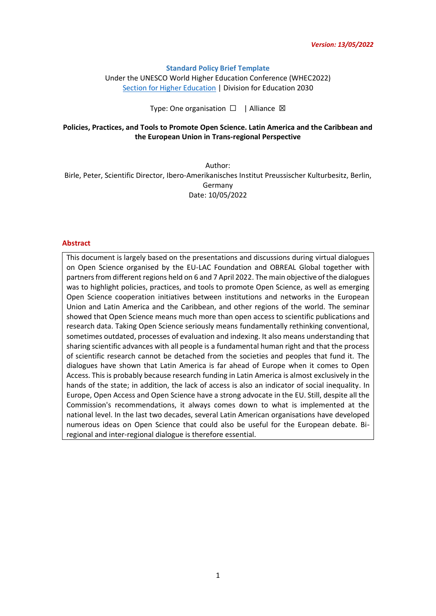#### **Standard Policy Brief Template**

Under the UNESCO World Higher Education Conference (WHEC2022) [Section for Higher Education](https://en.unesco.org/themes/higher-education) | Division for Education 2030

Type: One organisation □ | Alliance ⊠

### **Policies, Practices, and Tools to Promote Open Science. Latin America and the Caribbean and the European Union in Trans-regional Perspective**

Author: Birle, Peter, Scientific Director, Ibero-Amerikanisches Institut Preussischer Kulturbesitz, Berlin, Germany Date: 10/05/2022

#### **Abstract**

This document is largely based on the presentations and discussions during virtual dialogues on Open Science organised by the EU-LAC Foundation and OBREAL Global together with partners from different regions held on 6 and 7 April 2022. The main objective of the dialogues was to highlight policies, practices, and tools to promote Open Science, as well as emerging Open Science cooperation initiatives between institutions and networks in the European Union and Latin America and the Caribbean, and other regions of the world. The seminar showed that Open Science means much more than open access to scientific publications and research data. Taking Open Science seriously means fundamentally rethinking conventional, sometimes outdated, processes of evaluation and indexing. It also means understanding that sharing scientific advances with all people is a fundamental human right and that the process of scientific research cannot be detached from the societies and peoples that fund it. The dialogues have shown that Latin America is far ahead of Europe when it comes to Open Access. This is probably because research funding in Latin America is almost exclusively in the hands of the state; in addition, the lack of access is also an indicator of social inequality. In Europe, Open Access and Open Science have a strong advocate in the EU. Still, despite all the Commission's recommendations, it always comes down to what is implemented at the national level. In the last two decades, several Latin American organisations have developed numerous ideas on Open Science that could also be useful for the European debate. Biregional and inter-regional dialogue is therefore essential.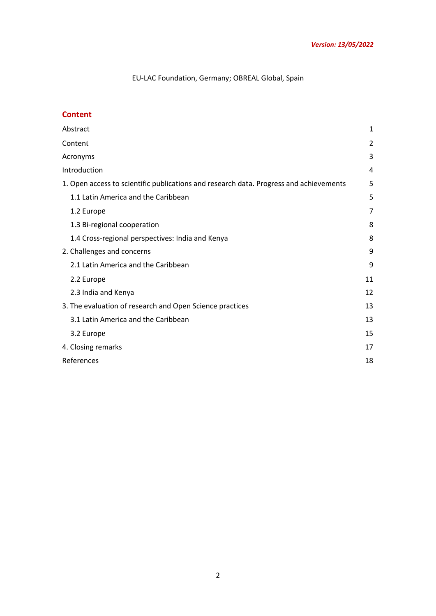# EU-LAC Foundation, Germany; OBREAL Global, Spain

## **Content**

| Abstract                                                                               | 1  |
|----------------------------------------------------------------------------------------|----|
| Content                                                                                |    |
| Acronyms                                                                               |    |
| Introduction                                                                           | 4  |
| 1. Open access to scientific publications and research data. Progress and achievements | 5  |
| 1.1 Latin America and the Caribbean                                                    | 5  |
| 1.2 Europe                                                                             | 7  |
| 1.3 Bi-regional cooperation                                                            | 8  |
| 1.4 Cross-regional perspectives: India and Kenya                                       | 8  |
| 2. Challenges and concerns                                                             | 9  |
| 2.1 Latin America and the Caribbean                                                    | 9  |
| 2.2 Europe                                                                             | 11 |
| 2.3 India and Kenya                                                                    | 12 |
| 3. The evaluation of research and Open Science practices                               | 13 |
| 3.1 Latin America and the Caribbean                                                    | 13 |
| 3.2 Europe                                                                             | 15 |
| 4. Closing remarks                                                                     | 17 |
| References                                                                             | 18 |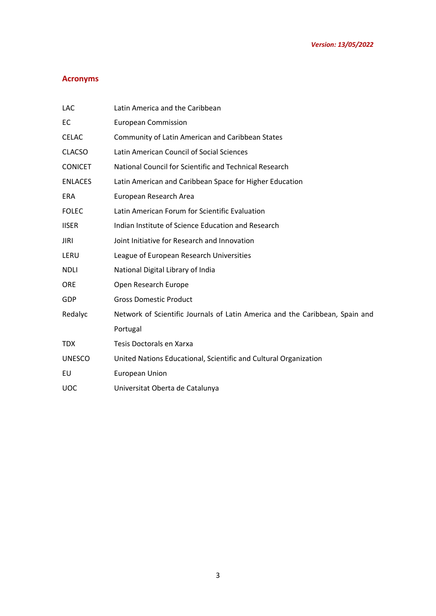# <span id="page-2-0"></span>**Acronyms**

| <b>LAC</b>     | Latin America and the Caribbean                                              |
|----------------|------------------------------------------------------------------------------|
| EC             | <b>European Commission</b>                                                   |
| <b>CELAC</b>   | Community of Latin American and Caribbean States                             |
| <b>CLACSO</b>  | Latin American Council of Social Sciences                                    |
| <b>CONICET</b> | National Council for Scientific and Technical Research                       |
| <b>ENLACES</b> | Latin American and Caribbean Space for Higher Education                      |
| <b>ERA</b>     | European Research Area                                                       |
| <b>FOLEC</b>   | Latin American Forum for Scientific Evaluation                               |
| <b>IISER</b>   | Indian Institute of Science Education and Research                           |
| <b>JIRI</b>    | Joint Initiative for Research and Innovation                                 |
| LERU           | League of European Research Universities                                     |
| <b>NDLI</b>    | National Digital Library of India                                            |
| <b>ORE</b>     | Open Research Europe                                                         |
| GDP            | <b>Gross Domestic Product</b>                                                |
| Redalyc        | Network of Scientific Journals of Latin America and the Caribbean, Spain and |
|                | Portugal                                                                     |
| <b>TDX</b>     | Tesis Doctorals en Xarxa                                                     |
| <b>UNESCO</b>  | United Nations Educational, Scientific and Cultural Organization             |
| EU             | European Union                                                               |
| <b>UOC</b>     | Universitat Oberta de Catalunya                                              |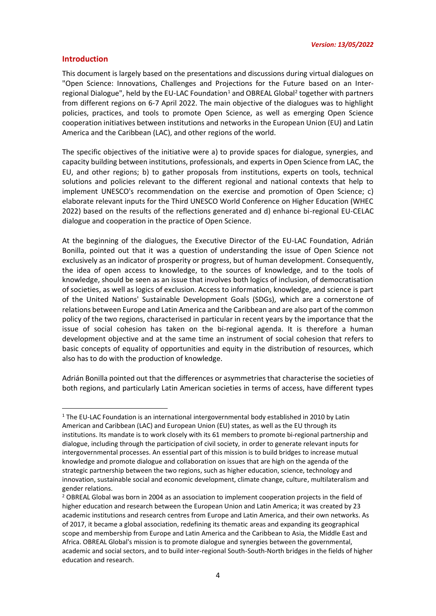#### <span id="page-3-0"></span>**Introduction**

This document is largely based on the presentations and discussions during virtual dialogues on "Open Science: Innovations, Challenges and Projections for the Future based on an Interregional Dialogue", held by the EU-LAC Foundation<sup>1</sup> and OBREAL Global<sup>2</sup> together with partners from different regions on 6-7 April 2022. The main objective of the dialogues was to highlight policies, practices, and tools to promote Open Science, as well as emerging Open Science cooperation initiatives between institutions and networks in the European Union (EU) and Latin America and the Caribbean (LAC), and other regions of the world.

The specific objectives of the initiative were a) to provide spaces for dialogue, synergies, and capacity building between institutions, professionals, and experts in Open Science from LAC, the EU, and other regions; b) to gather proposals from institutions, experts on tools, technical solutions and policies relevant to the different regional and national contexts that help to implement UNESCO's recommendation on the exercise and promotion of Open Science; c) elaborate relevant inputs for the Third UNESCO World Conference on Higher Education (WHEC 2022) based on the results of the reflections generated and d) enhance bi-regional EU-CELAC dialogue and cooperation in the practice of Open Science.

At the beginning of the dialogues, the Executive Director of the EU-LAC Foundation, Adrián Bonilla, pointed out that it was a question of understanding the issue of Open Science not exclusively as an indicator of prosperity or progress, but of human development. Consequently, the idea of open access to knowledge, to the sources of knowledge, and to the tools of knowledge, should be seen as an issue that involves both logics of inclusion, of democratisation of societies, as well as logics of exclusion. Access to information, knowledge, and science is part of the United Nations' Sustainable Development Goals (SDGs), which are a cornerstone of relations between Europe and Latin America and the Caribbean and are also part of the common policy of the two regions, characterised in particular in recent years by the importance that the issue of social cohesion has taken on the bi-regional agenda. It is therefore a human development objective and at the same time an instrument of social cohesion that refers to basic concepts of equality of opportunities and equity in the distribution of resources, which also has to do with the production of knowledge.

Adrián Bonilla pointed out that the differences or asymmetries that characterise the societies of both regions, and particularly Latin American societies in terms of access, have different types

<sup>1</sup> The EU-LAC Foundation is an international intergovernmental body established in 2010 by Latin American and Caribbean (LAC) and European Union (EU) states, as well as the EU through its institutions. Its mandate is to work closely with its 61 members to promote bi-regional partnership and dialogue, including through the participation of civil society, in order to generate relevant inputs for intergovernmental processes. An essential part of this mission is to build bridges to increase mutual knowledge and promote dialogue and collaboration on issues that are high on the agenda of the strategic partnership between the two regions, such as higher education, science, technology and innovation, sustainable social and economic development, climate change, culture, multilateralism and gender relations.

<sup>&</sup>lt;sup>2</sup> OBREAL Global was born in 2004 as an association to implement cooperation projects in the field of higher education and research between the European Union and Latin America; it was created by 23 academic institutions and research centres from Europe and Latin America, and their own networks. As of 2017, it became a global association, redefining its thematic areas and expanding its geographical scope and membership from Europe and Latin America and the Caribbean to Asia, the Middle East and Africa. OBREAL Global's mission is to promote dialogue and synergies between the governmental, academic and social sectors, and to build inter-regional South-South-North bridges in the fields of higher education and research.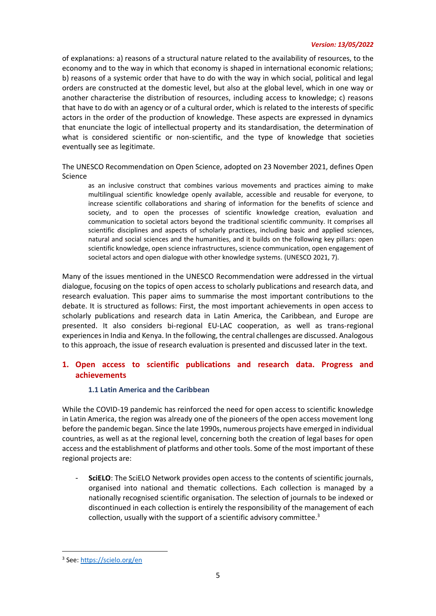of explanations: a) reasons of a structural nature related to the availability of resources, to the economy and to the way in which that economy is shaped in international economic relations; b) reasons of a systemic order that have to do with the way in which social, political and legal orders are constructed at the domestic level, but also at the global level, which in one way or another characterise the distribution of resources, including access to knowledge; c) reasons that have to do with an agency or of a cultural order, which is related to the interests of specific actors in the order of the production of knowledge. These aspects are expressed in dynamics that enunciate the logic of intellectual property and its standardisation, the determination of what is considered scientific or non-scientific, and the type of knowledge that societies eventually see as legitimate.

The UNESCO Recommendation on Open Science, adopted on 23 November 2021, defines Open Science

as an inclusive construct that combines various movements and practices aiming to make multilingual scientific knowledge openly available, accessible and reusable for everyone, to increase scientific collaborations and sharing of information for the benefits of science and society, and to open the processes of scientific knowledge creation, evaluation and communication to societal actors beyond the traditional scientific community. It comprises all scientific disciplines and aspects of scholarly practices, including basic and applied sciences, natural and social sciences and the humanities, and it builds on the following key pillars: open scientific knowledge, open science infrastructures, science communication, open engagement of societal actors and open dialogue with other knowledge systems. (UNESCO 2021, 7).

Many of the issues mentioned in the UNESCO Recommendation were addressed in the virtual dialogue, focusing on the topics of open access to scholarly publications and research data, and research evaluation. This paper aims to summarise the most important contributions to the debate. It is structured as follows: First, the most important achievements in open access to scholarly publications and research data in Latin America, the Caribbean, and Europe are presented. It also considers bi-regional EU-LAC cooperation, as well as trans-regional experiences in India and Kenya. In the following, the central challenges are discussed. Analogous to this approach, the issue of research evaluation is presented and discussed later in the text.

## **1. Open access to scientific publications and research data. Progress and achievements**

## **1.1 Latin America and the Caribbean**

While the COVID-19 pandemic has reinforced the need for open access to scientific knowledge in Latin America, the region was already one of the pioneers of the open access movement long before the pandemic began. Since the late 1990s, numerous projects have emerged in individual countries, as well as at the regional level, concerning both the creation of legal bases for open access and the establishment of platforms and other tools. Some of the most important of these regional projects are:

**SciELO**: The SciELO Network provides open access to the contents of scientific journals, organised into national and thematic collections. Each collection is managed by a nationally recognised scientific organisation. The selection of journals to be indexed or discontinued in each collection is entirely the responsibility of the management of each collection, usually with the support of a scientific advisory committee.<sup>3</sup>

<sup>3</sup> See:<https://scielo.org/en>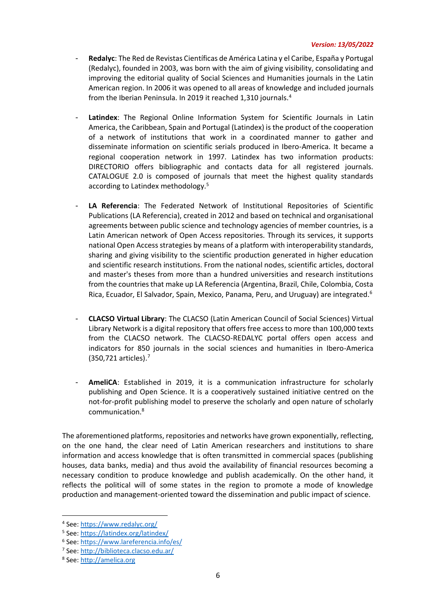- **Redalyc**: The Red de Revistas Científicas de América Latina y el Caribe, España y Portugal (Redalyc), founded in 2003, was born with the aim of giving visibility, consolidating and improving the editorial quality of Social Sciences and Humanities journals in the Latin American region. In 2006 it was opened to all areas of knowledge and included journals from the Iberian Peninsula. In 2019 it reached 1,310 journals. 4
- Latindex: The Regional Online Information System for Scientific Journals in Latin America, the Caribbean, Spain and Portugal (Latindex) is the product of the cooperation of a network of institutions that work in a coordinated manner to gather and disseminate information on scientific serials produced in Ibero-America. It became a regional cooperation network in 1997. Latindex has two information products: DIRECTORIO offers bibliographic and contacts data for all registered journals. CATALOGUE 2.0 is composed of journals that meet the highest quality standards according to Latindex methodology.<sup>5</sup>
- LA Referencia: The Federated Network of Institutional Repositories of Scientific Publications (LA Referencia), created in 2012 and based on technical and organisational agreements between public science and technology agencies of member countries, is a Latin American network of Open Access repositories. Through its services, it supports national Open Access strategies by means of a platform with interoperability standards, sharing and giving visibility to the scientific production generated in higher education and scientific research institutions. From the national nodes, scientific articles, doctoral and master's theses from more than a hundred universities and research institutions from the countries that make up LA Referencia (Argentina, Brazil, Chile, Colombia, Costa Rica, Ecuador, El Salvador, Spain, Mexico, Panama, Peru, and Uruguay) are integrated.<sup>6</sup>
- **CLACSO Virtual Library**: The CLACSO (Latin American Council of Social Sciences) Virtual Library Network is a digital repository that offers free access to more than 100,000 texts from the CLACSO network. The CLACSO-REDALYC portal offers open access and indicators for 850 journals in the social sciences and humanities in Ibero-America (350,721 articles).<sup>7</sup>
- AmeliCA: Established in 2019, it is a communication infrastructure for scholarly publishing and Open Science. It is a cooperatively sustained initiative centred on the not-for-profit publishing model to preserve the scholarly and open nature of scholarly communication. 8

The aforementioned platforms, repositories and networks have grown exponentially, reflecting, on the one hand, the clear need of Latin American researchers and institutions to share information and access knowledge that is often transmitted in commercial spaces (publishing houses, data banks, media) and thus avoid the availability of financial resources becoming a necessary condition to produce knowledge and publish academically. On the other hand, it reflects the political will of some states in the region to promote a mode of knowledge production and management-oriented toward the dissemination and public impact of science.

<sup>4</sup> See:<https://www.redalyc.org/>

<sup>5</sup> See:<https://latindex.org/latindex/>

<sup>6</sup> See:<https://www.lareferencia.info/es/>

<sup>7</sup> See:<http://biblioteca.clacso.edu.ar/>

<sup>8</sup> See: [http://amelica.org](http://amelica.org/)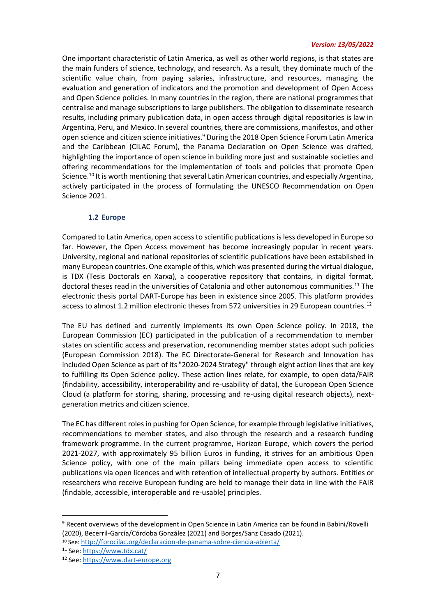One important characteristic of Latin America, as well as other world regions, is that states are the main funders of science, technology, and research. As a result, they dominate much of the scientific value chain, from paying salaries, infrastructure, and resources, managing the evaluation and generation of indicators and the promotion and development of Open Access and Open Science policies. In many countries in the region, there are national programmes that centralise and manage subscriptions to large publishers. The obligation to disseminate research results, including primary publication data, in open access through digital repositories is law in Argentina, Peru, and Mexico. In several countries, there are commissions, manifestos, and other open science and citizen science initiatives.<sup>9</sup> During the 2018 Open Science Forum Latin America and the Caribbean (CILAC Forum), the Panama Declaration on Open Science was drafted, highlighting the importance of open science in building more just and sustainable societies and offering recommendations for the implementation of tools and policies that promote Open Science.<sup>10</sup> It is worth mentioning that several Latin American countries, and especially Argentina, actively participated in the process of formulating the UNESCO Recommendation on Open Science 2021.

#### **1.2 Europe**

Compared to Latin America, open access to scientific publications is less developed in Europe so far. However, the Open Access movement has become increasingly popular in recent years. University, regional and national repositories of scientific publications have been established in many European countries. One example of this, which was presented during the virtual dialogue, is TDX (Tesis Doctorals en Xarxa), a cooperative repository that contains, in digital format, doctoral theses read in the universities of Catalonia and other autonomous communities.<sup>11</sup> The electronic thesis portal DART-Europe has been in existence since 2005. This platform provides access to almost 1.2 million electronic theses from 572 universities in 29 European countries.<sup>12</sup>

The EU has defined and currently implements its own Open Science policy. In 2018, the European Commission (EC) participated in the publication of a recommendation to member states on scientific access and preservation, recommending member states adopt such policies (European Commission 2018). The EC Directorate-General for Research and Innovation has included Open Science as part of its "2020-2024 Strategy" through eight action lines that are key to fulfilling its Open Science policy. These action lines relate, for example, to open data/FAIR (findability, accessibility, interoperability and re-usability of data), the European Open Science Cloud (a platform for storing, sharing, processing and re-using digital research objects), nextgeneration metrics and citizen science.

The EC has different roles in pushing for Open Science, for example through legislative initiatives, recommendations to member states, and also through the research and a research funding framework programme. In the current programme, Horizon Europe, which covers the period 2021-2027, with approximately 95 billion Euros in funding, it strives for an ambitious Open Science policy, with one of the main pillars being immediate open access to scientific publications via open licences and with retention of intellectual property by authors. Entities or researchers who receive European funding are held to manage their data in line with the FAIR (findable, accessible, interoperable and re-usable) principles.

<sup>9</sup> Recent overviews of the development in Open Science in Latin America can be found in Babini/Rovelli (2020), Becerril-García/Córdoba González (2021) and Borges/Sanz Casado (2021).

<sup>10</sup> See: <http://forocilac.org/declaracion-de-panama-sobre-ciencia-abierta/>

<sup>11</sup> See: <https://www.tdx.cat/>

<sup>12</sup> See: [https://www.dart-europe.org](https://www.dart-europe.org/)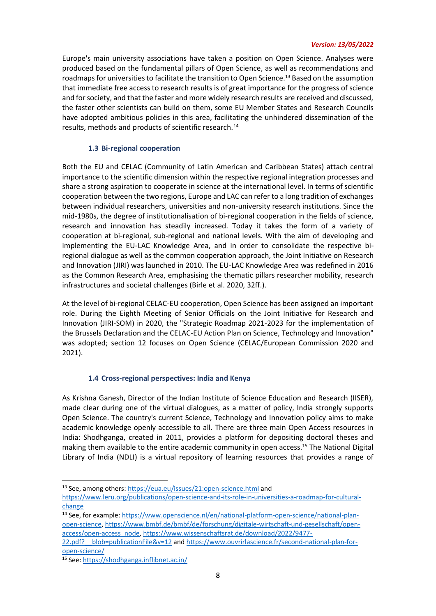Europe's main university associations have taken a position on Open Science. Analyses were produced based on the fundamental pillars of Open Science, as well as recommendations and roadmaps for universities to facilitate the transition to Open Science.<sup>13</sup> Based on the assumption that immediate free access to research results is of great importance for the progress of science and for society, and that the faster and more widely research results are received and discussed, the faster other scientists can build on them, some EU Member States and Research Councils have adopted ambitious policies in this area, facilitating the unhindered dissemination of the results, methods and products of scientific research.<sup>14</sup>

## **1.3 Bi-regional cooperation**

Both the EU and CELAC (Community of Latin American and Caribbean States) attach central importance to the scientific dimension within the respective regional integration processes and share a strong aspiration to cooperate in science at the international level. In terms of scientific cooperation between the two regions, Europe and LAC can refer to a long tradition of exchanges between individual researchers, universities and non-university research institutions. Since the mid-1980s, the degree of institutionalisation of bi-regional cooperation in the fields of science, research and innovation has steadily increased. Today it takes the form of a variety of cooperation at bi-regional, sub-regional and national levels. With the aim of developing and implementing the EU-LAC Knowledge Area, and in order to consolidate the respective biregional dialogue as well as the common cooperation approach, the Joint Initiative on Research and Innovation (JIRI) was launched in 2010. The EU-LAC Knowledge Area was redefined in 2016 as the Common Research Area, emphasising the thematic pillars researcher mobility, research infrastructures and societal challenges (Birle et al. 2020, 32ff.).

At the level of bi-regional CELAC-EU cooperation, Open Science has been assigned an important role. During the Eighth Meeting of Senior Officials on the Joint Initiative for Research and Innovation (JIRI-SOM) in 2020, the "Strategic Roadmap 2021-2023 for the implementation of the Brussels Declaration and the CELAC-EU Action Plan on Science, Technology and Innovation" was adopted; section 12 focuses on Open Science (CELAC/European Commission 2020 and 2021).

## **1.4 Cross-regional perspectives: India and Kenya**

As Krishna Ganesh, Director of the Indian Institute of Science Education and Research (IISER), made clear during one of the virtual dialogues, as a matter of policy, India strongly supports Open Science. The country's current Science, Technology and Innovation policy aims to make academic knowledge openly accessible to all. There are three main Open Access resources in India: Shodhganga, created in 2011, provides a platform for depositing doctoral theses and making them available to the entire academic community in open access.<sup>15</sup> The National Digital Library of India (NDLI) is a virtual repository of learning resources that provides a range of

<sup>13</sup> See, among others[: https://eua.eu/issues/21:open-science.html](https://eua.eu/issues/21:open-science.html) and

[https://www.leru.org/publications/open-science-and-its-role-in-universities-a-roadmap-for-cultural](https://www.leru.org/publications/open-science-and-its-role-in-universities-a-roadmap-for-cultural-change)[change](https://www.leru.org/publications/open-science-and-its-role-in-universities-a-roadmap-for-cultural-change)

<sup>&</sup>lt;sup>14</sup> See, for example: [https://www.openscience.nl/en/national-platform-open-science/national-plan](https://www.openscience.nl/en/national-platform-open-science/national-plan-open-science)[open-science,](https://www.openscience.nl/en/national-platform-open-science/national-plan-open-science) [https://www.bmbf.de/bmbf/de/forschung/digitale-wirtschaft-und-gesellschaft/open](https://www.bmbf.de/bmbf/de/forschung/digitale-wirtschaft-und-gesellschaft/open-access/open-access_node)[access/open-access\\_node,](https://www.bmbf.de/bmbf/de/forschung/digitale-wirtschaft-und-gesellschaft/open-access/open-access_node) [https://www.wissenschaftsrat.de/download/2022/9477-](https://www.wissenschaftsrat.de/download/2022/9477-22.pdf?__blob=publicationFile&v=12)

<sup>22.</sup>pdf? blob=publicationFile&v=12 and [https://www.ouvrirlascience.fr/second-national-plan-for](https://www.ouvrirlascience.fr/second-national-plan-for-open-science/)[open-science/](https://www.ouvrirlascience.fr/second-national-plan-for-open-science/)

<sup>15</sup> See: <https://shodhganga.inflibnet.ac.in/>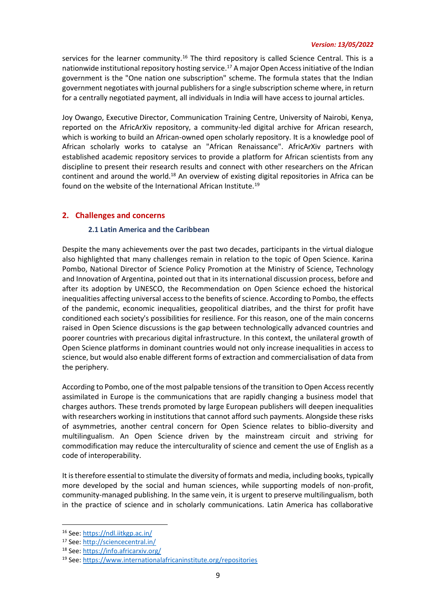services for the learner community.<sup>16</sup> The third repository is called Science Central. This is a nationwide institutional repository hosting service.<sup>17</sup> A major Open Access initiative of the Indian government is the "One nation one subscription" scheme. The formula states that the Indian government negotiates with journal publishers for a single subscription scheme where, in return for a centrally negotiated payment, all individuals in India will have access to journal articles.

Joy Owango, Executive Director, Communication Training Centre, University of Nairobi, Kenya, reported on the AfricArXiv repository, a community-led digital archive for African research, which is working to build an African-owned open scholarly repository. It is a knowledge pool of African scholarly works to catalyse an "African Renaissance". AfricArXiv partners with established academic repository services to provide a platform for African scientists from any discipline to present their research results and connect with other researchers on the African continent and around the world.<sup>18</sup> An overview of existing digital repositories in Africa can be found on the website of the International African Institute.<sup>19</sup>

## <span id="page-8-0"></span>**2. Challenges and concerns**

## **2.1 Latin America and the Caribbean**

Despite the many achievements over the past two decades, participants in the virtual dialogue also highlighted that many challenges remain in relation to the topic of Open Science. Karina Pombo, National Director of Science Policy Promotion at the Ministry of Science, Technology and Innovation of Argentina, pointed out that in its international discussion process, before and after its adoption by UNESCO, the Recommendation on Open Science echoed the historical inequalities affecting universal access to the benefits of science. According to Pombo, the effects of the pandemic, economic inequalities, geopolitical diatribes, and the thirst for profit have conditioned each society's possibilities for resilience. For this reason, one of the main concerns raised in Open Science discussions is the gap between technologically advanced countries and poorer countries with precarious digital infrastructure. In this context, the unilateral growth of Open Science platforms in dominant countries would not only increase inequalities in access to science, but would also enable different forms of extraction and commercialisation of data from the periphery.

According to Pombo, one of the most palpable tensions of the transition to Open Access recently assimilated in Europe is the communications that are rapidly changing a business model that charges authors. These trends promoted by large European publishers will deepen inequalities with researchers working in institutions that cannot afford such payments. Alongside these risks of asymmetries, another central concern for Open Science relates to biblio-diversity and multilingualism. An Open Science driven by the mainstream circuit and striving for commodification may reduce the interculturality of science and cement the use of English as a code of interoperability.

It is therefore essential to stimulate the diversity of formats and media, including books, typically more developed by the social and human sciences, while supporting models of non-profit, community-managed publishing. In the same vein, it is urgent to preserve multilingualism, both in the practice of science and in scholarly communications. Latin America has collaborative

<sup>16</sup> See:<https://ndl.iitkgp.ac.in/>

<sup>17</sup> See:<http://sciencecentral.in/>

<sup>18</sup> See:<https://info.africarxiv.org/>

<sup>19</sup> See:<https://www.internationalafricaninstitute.org/repositories>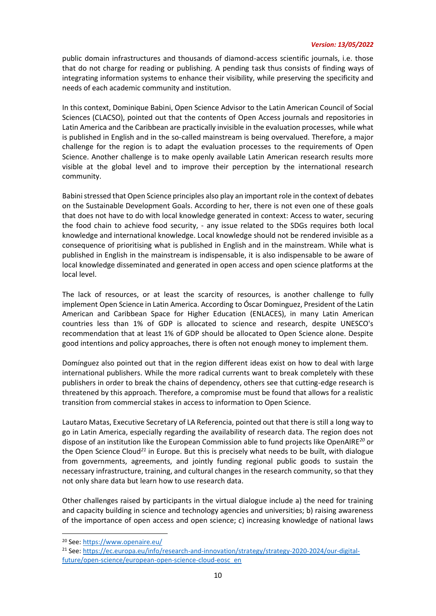public domain infrastructures and thousands of diamond-access scientific journals, i.e. those that do not charge for reading or publishing. A pending task thus consists of finding ways of integrating information systems to enhance their visibility, while preserving the specificity and needs of each academic community and institution.

In this context, Dominique Babini, Open Science Advisor to the Latin American Council of Social Sciences (CLACSO), pointed out that the contents of Open Access journals and repositories in Latin America and the Caribbean are practically invisible in the evaluation processes, while what is published in English and in the so-called mainstream is being overvalued. Therefore, a major challenge for the region is to adapt the evaluation processes to the requirements of Open Science. Another challenge is to make openly available Latin American research results more visible at the global level and to improve their perception by the international research community.

Babini stressed that Open Science principles also play an important role in the context of debates on the Sustainable Development Goals. According to her, there is not even one of these goals that does not have to do with local knowledge generated in context: Access to water, securing the food chain to achieve food security, - any issue related to the SDGs requires both local knowledge and international knowledge. Local knowledge should not be rendered invisible as a consequence of prioritising what is published in English and in the mainstream. While what is published in English in the mainstream is indispensable, it is also indispensable to be aware of local knowledge disseminated and generated in open access and open science platforms at the local level.

The lack of resources, or at least the scarcity of resources, is another challenge to fully implement Open Science in Latin America. According to Óscar Dominguez, President of the Latin American and Caribbean Space for Higher Education (ENLACES), in many Latin American countries less than 1% of GDP is allocated to science and research, despite UNESCO's recommendation that at least 1% of GDP should be allocated to Open Science alone. Despite good intentions and policy approaches, there is often not enough money to implement them.

Domínguez also pointed out that in the region different ideas exist on how to deal with large international publishers. While the more radical currents want to break completely with these publishers in order to break the chains of dependency, others see that cutting-edge research is threatened by this approach. Therefore, a compromise must be found that allows for a realistic transition from commercial stakes in access to information to Open Science.

Lautaro Matas, Executive Secretary of LA Referencia, pointed out that there is still a long way to go in Latin America, especially regarding the availability of research data. The region does not dispose of an institution like the European Commission able to fund projects like OpenAIRE *<sup>20</sup>* or the Open Science Cloud*<sup>21</sup>* in Europe. But this is precisely what needs to be built, with dialogue from governments, agreements, and jointly funding regional public goods to sustain the necessary infrastructure, training, and cultural changes in the research community, so that they not only share data but learn how to use research data.

Other challenges raised by participants in the virtual dialogue include a) the need for training and capacity building in science and technology agencies and universities; b) raising awareness of the importance of open access and open science; c) increasing knowledge of national laws

<sup>20</sup> See:<https://www.openaire.eu/>

<sup>&</sup>lt;sup>21</sup> See: [https://ec.europa.eu/info/research-and-innovation/strategy/strategy-2020-2024/our-digital](https://ec.europa.eu/info/research-and-innovation/strategy/strategy-2020-2024/our-digital-future/open-science/european-open-science-cloud-eosc_en)[future/open-science/european-open-science-cloud-eosc\\_en](https://ec.europa.eu/info/research-and-innovation/strategy/strategy-2020-2024/our-digital-future/open-science/european-open-science-cloud-eosc_en)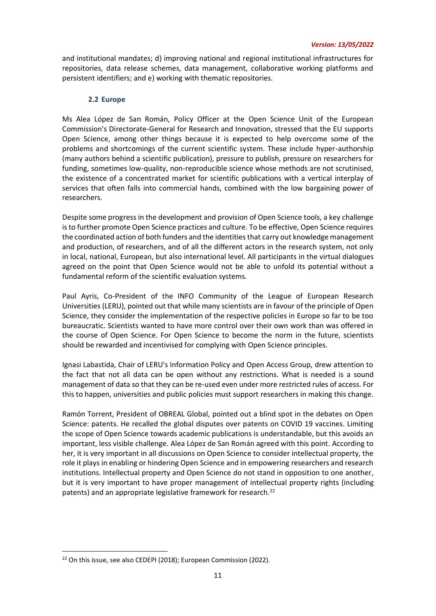and institutional mandates; d) improving national and regional institutional infrastructures for repositories, data release schemes, data management, collaborative working platforms and persistent identifiers; and e) working with thematic repositories.

### **2.2 Europe**

Ms Alea López de San Román, Policy Officer at the Open Science Unit of the European Commission's Directorate-General for Research and Innovation, stressed that the EU supports Open Science, among other things because it is expected to help overcome some of the problems and shortcomings of the current scientific system. These include hyper-authorship (many authors behind a scientific publication), pressure to publish, pressure on researchers for funding, sometimes low-quality, non-reproducible science whose methods are not scrutinised, the existence of a concentrated market for scientific publications with a vertical interplay of services that often falls into commercial hands, combined with the low bargaining power of researchers.

Despite some progress in the development and provision of Open Science tools, a key challenge is to further promote Open Science practices and culture. To be effective, Open Science requires the coordinated action of both funders and the identities that carry out knowledge management and production, of researchers, and of all the different actors in the research system, not only in local, national, European, but also international level. All participants in the virtual dialogues agreed on the point that Open Science would not be able to unfold its potential without a fundamental reform of the scientific evaluation systems.

Paul Ayris, Co-President of the INFO Community of the League of European Research Universities (LERU), pointed out that while many scientists are in favour of the principle of Open Science, they consider the implementation of the respective policies in Europe so far to be too bureaucratic. Scientists wanted to have more control over their own work than was offered in the course of Open Science. For Open Science to become the norm in the future, scientists should be rewarded and incentivised for complying with Open Science principles.

Ignasi Labastida, Chair of LERU's Information Policy and Open Access Group, drew attention to the fact that not all data can be open without any restrictions. What is needed is a sound management of data so that they can be re-used even under more restricted rules of access. For this to happen, universities and public policies must support researchers in making this change.

Ramón Torrent, President of OBREAL Global, pointed out a blind spot in the debates on Open Science: patents. He recalled the global disputes over patents on COVID 19 vaccines. Limiting the scope of Open Science towards academic publications is understandable, but this avoids an important, less visible challenge. Alea López de San Román agreed with this point. According to her, it is very important in all discussions on Open Science to consider intellectual property, the role it plays in enabling or hindering Open Science and in empowering researchers and research institutions. Intellectual property and Open Science do not stand in opposition to one another, but it is very important to have proper management of intellectual property rights (including patents) and an appropriate legislative framework for research.<sup>22</sup>

<sup>&</sup>lt;sup>22</sup> On this issue, see also CEDEPI (2018); European Commission (2022).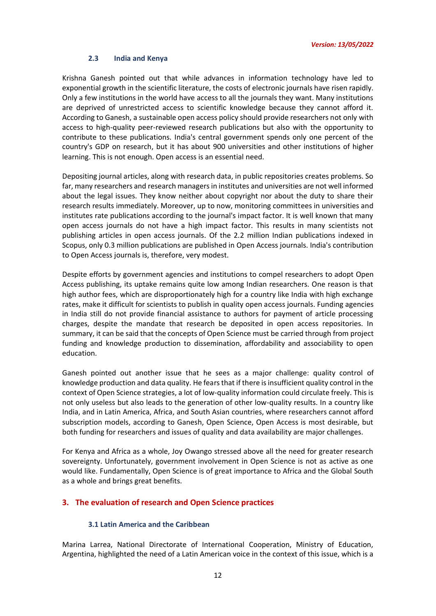#### **2.3 India and Kenya**

Krishna Ganesh pointed out that while advances in information technology have led to exponential growth in the scientific literature, the costs of electronic journals have risen rapidly. Only a few institutions in the world have access to all the journals they want. Many institutions are deprived of unrestricted access to scientific knowledge because they cannot afford it. According to Ganesh, a sustainable open access policy should provide researchers not only with access to high-quality peer-reviewed research publications but also with the opportunity to contribute to these publications. India's central government spends only one percent of the country's GDP on research, but it has about 900 universities and other institutions of higher learning. This is not enough. Open access is an essential need.

Depositing journal articles, along with research data, in public repositories creates problems. So far, many researchers and research managers in institutes and universities are not well informed about the legal issues. They know neither about copyright nor about the duty to share their research results immediately. Moreover, up to now, monitoring committees in universities and institutes rate publications according to the journal's impact factor. It is well known that many open access journals do not have a high impact factor. This results in many scientists not publishing articles in open access journals. Of the 2.2 million Indian publications indexed in Scopus, only 0.3 million publications are published in Open Access journals. India's contribution to Open Access journals is, therefore, very modest.

Despite efforts by government agencies and institutions to compel researchers to adopt Open Access publishing, its uptake remains quite low among Indian researchers. One reason is that high author fees, which are disproportionately high for a country like India with high exchange rates, make it difficult for scientists to publish in quality open access journals. Funding agencies in India still do not provide financial assistance to authors for payment of article processing charges, despite the mandate that research be deposited in open access repositories. In summary, it can be said that the concepts of Open Science must be carried through from project funding and knowledge production to dissemination, affordability and associability to open education.

Ganesh pointed out another issue that he sees as a major challenge: quality control of knowledge production and data quality. He fears that if there is insufficient quality control in the context of Open Science strategies, a lot of low-quality information could circulate freely. This is not only useless but also leads to the generation of other low-quality results. In a country like India, and in Latin America, Africa, and South Asian countries, where researchers cannot afford subscription models, according to Ganesh, Open Science, Open Access is most desirable, but both funding for researchers and issues of quality and data availability are major challenges.

For Kenya and Africa as a whole, Joy Owango stressed above all the need for greater research sovereignty. Unfortunately, government involvement in Open Science is not as active as one would like. Fundamentally, Open Science is of great importance to Africa and the Global South as a whole and brings great benefits.

## <span id="page-11-0"></span>**3. The evaluation of research and Open Science practices**

## **3.1 Latin America and the Caribbean**

Marina Larrea, National Directorate of International Cooperation, Ministry of Education, Argentina, highlighted the need of a Latin American voice in the context of this issue, which is a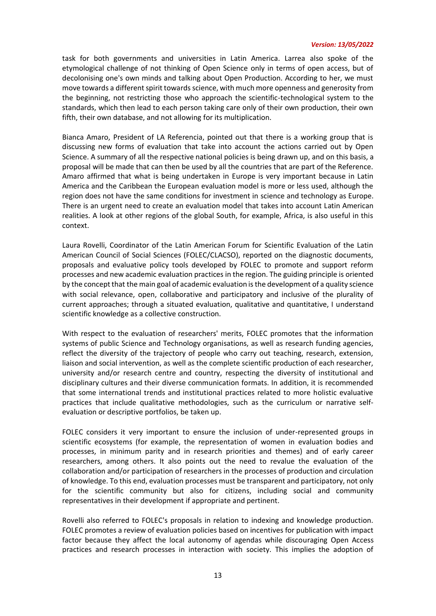task for both governments and universities in Latin America. Larrea also spoke of the etymological challenge of not thinking of Open Science only in terms of open access, but of decolonising one's own minds and talking about Open Production. According to her, we must move towards a different spirit towards science, with much more openness and generosity from the beginning, not restricting those who approach the scientific-technological system to the standards, which then lead to each person taking care only of their own production, their own fifth, their own database, and not allowing for its multiplication.

Bianca Amaro, President of LA Referencia, pointed out that there is a working group that is discussing new forms of evaluation that take into account the actions carried out by Open Science. A summary of all the respective national policies is being drawn up, and on this basis, a proposal will be made that can then be used by all the countries that are part of the Reference. Amaro affirmed that what is being undertaken in Europe is very important because in Latin America and the Caribbean the European evaluation model is more or less used, although the region does not have the same conditions for investment in science and technology as Europe. There is an urgent need to create an evaluation model that takes into account Latin American realities. A look at other regions of the global South, for example, Africa, is also useful in this context.

Laura Rovelli, Coordinator of the Latin American Forum for Scientific Evaluation of the Latin American Council of Social Sciences (FOLEC/CLACSO), reported on the diagnostic documents, proposals and evaluative policy tools developed by FOLEC to promote and support reform processes and new academic evaluation practices in the region. The guiding principle is oriented by the concept that the main goal of academic evaluation is the development of a quality science with social relevance, open, collaborative and participatory and inclusive of the plurality of current approaches; through a situated evaluation, qualitative and quantitative, I understand scientific knowledge as a collective construction.

With respect to the evaluation of researchers' merits, FOLEC promotes that the information systems of public Science and Technology organisations, as well as research funding agencies, reflect the diversity of the trajectory of people who carry out teaching, research, extension, liaison and social intervention, as well as the complete scientific production of each researcher, university and/or research centre and country, respecting the diversity of institutional and disciplinary cultures and their diverse communication formats. In addition, it is recommended that some international trends and institutional practices related to more holistic evaluative practices that include qualitative methodologies, such as the curriculum or narrative selfevaluation or descriptive portfolios, be taken up.

FOLEC considers it very important to ensure the inclusion of under-represented groups in scientific ecosystems (for example, the representation of women in evaluation bodies and processes, in minimum parity and in research priorities and themes) and of early career researchers, among others. It also points out the need to revalue the evaluation of the collaboration and/or participation of researchers in the processes of production and circulation of knowledge. To this end, evaluation processes must be transparent and participatory, not only for the scientific community but also for citizens, including social and community representatives in their development if appropriate and pertinent.

Rovelli also referred to FOLEC's proposals in relation to indexing and knowledge production. FOLEC promotes a review of evaluation policies based on incentives for publication with impact factor because they affect the local autonomy of agendas while discouraging Open Access practices and research processes in interaction with society. This implies the adoption of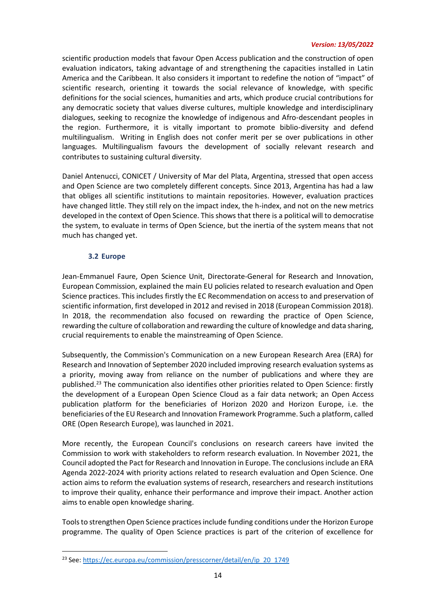scientific production models that favour Open Access publication and the construction of open evaluation indicators, taking advantage of and strengthening the capacities installed in Latin America and the Caribbean. It also considers it important to redefine the notion of "impact" of scientific research, orienting it towards the social relevance of knowledge, with specific definitions for the social sciences, humanities and arts, which produce crucial contributions for any democratic society that values diverse cultures, multiple knowledge and interdisciplinary dialogues, seeking to recognize the knowledge of indigenous and Afro-descendant peoples in the region. Furthermore, it is vitally important to promote biblio-diversity and defend multilingualism. Writing in English does not confer merit per se over publications in other languages. Multilingualism favours the development of socially relevant research and contributes to sustaining cultural diversity.

Daniel Antenucci, CONICET / University of Mar del Plata, Argentina, stressed that open access and Open Science are two completely different concepts. Since 2013, Argentina has had a law that obliges all scientific institutions to maintain repositories. However, evaluation practices have changed little. They still rely on the impact index, the h-index, and not on the new metrics developed in the context of Open Science. This shows that there is a political will to democratise the system, to evaluate in terms of Open Science, but the inertia of the system means that not much has changed yet.

## **3.2 Europe**

<span id="page-13-0"></span>Jean-Emmanuel Faure, Open Science Unit, Directorate-General for Research and Innovation, European Commission, explained the main EU policies related to research evaluation and Open Science practices. This includes firstly the EC Recommendation on access to and preservation of scientific information, first developed in 2012 and revised in 2018 (European Commission 2018). In 2018, the recommendation also focused on rewarding the practice of Open Science, rewarding the culture of collaboration and rewarding the culture of knowledge and data sharing, crucial requirements to enable the mainstreaming of Open Science.

Subsequently, the Commission's Communication on a new European Research Area (ERA) for Research and Innovation of September 2020 included improving research evaluation systems as a priority, moving away from reliance on the number of publications and where they are published.<sup>23</sup> The communication also identifies other priorities related to Open Science: firstly the development of a European Open Science Cloud as a fair data network; an Open Access publication platform for the beneficiaries of Horizon 2020 and Horizon Europe, i.e. the beneficiaries of the EU Research and Innovation Framework Programme. Such a platform, called ORE (Open Research Europe), was launched in 2021.

More recently, the European Council's conclusions on research careers have invited the Commission to work with stakeholders to reform research evaluation. In November 2021, the Council adopted the Pact for Research and Innovation in Europe. The conclusions include an ERA Agenda 2022-2024 with priority actions related to research evaluation and Open Science. One action aims to reform the evaluation systems of research, researchers and research institutions to improve their quality, enhance their performance and improve their impact. Another action aims to enable open knowledge sharing.

Tools to strengthen Open Science practices include funding conditions under the Horizon Europe programme. The quality of Open Science practices is part of the criterion of excellence for

<sup>&</sup>lt;sup>23</sup> See: [https://ec.europa.eu/commission/presscorner/detail/en/ip\\_20\\_1749](https://ec.europa.eu/commission/presscorner/detail/en/ip_20_1749)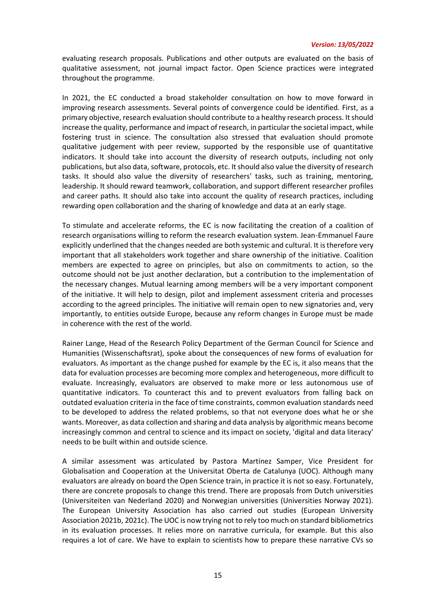evaluating research proposals. Publications and other outputs are evaluated on the basis of qualitative assessment, not journal impact factor. Open Science practices were integrated throughout the programme.

In 2021, the EC conducted a broad stakeholder consultation on how to move forward in improving research assessments. Several points of convergence could be identified. First, as a primary objective, research evaluation should contribute to a healthy research process. It should increase the quality, performance and impact of research, in particular the societal impact, while fostering trust in science. The consultation also stressed that evaluation should promote qualitative judgement with peer review, supported by the responsible use of quantitative indicators. It should take into account the diversity of research outputs, including not only publications, but also data, software, protocols, etc. It should also value the diversity of research tasks. It should also value the diversity of researchers' tasks, such as training, mentoring, leadership. It should reward teamwork, collaboration, and support different researcher profiles and career paths. It should also take into account the quality of research practices, including rewarding open collaboration and the sharing of knowledge and data at an early stage.

To stimulate and accelerate reforms, the EC is now facilitating the creation of a coalition of research organisations willing to reform the research evaluation system. Jean-Emmanuel Faure explicitly underlined that the changes needed are both systemic and cultural. It is therefore very important that all stakeholders work together and share ownership of the initiative. Coalition members are expected to agree on principles, but also on commitments to action, so the outcome should not be just another declaration, but a contribution to the implementation of the necessary changes. Mutual learning among members will be a very important component of the initiative. It will help to design, pilot and implement assessment criteria and processes according to the agreed principles. The initiative will remain open to new signatories and, very importantly, to entities outside Europe, because any reform changes in Europe must be made in coherence with the rest of the world.

Rainer Lange, Head of the Research Policy Department of the German Council for Science and Humanities (Wissenschaftsrat), spoke about the consequences of new forms of evaluation for evaluators. As important as the change pushed for example by the EC is, it also means that the data for evaluation processes are becoming more complex and heterogeneous, more difficult to evaluate. Increasingly, evaluators are observed to make more or less autonomous use of quantitative indicators. To counteract this and to prevent evaluators from falling back on outdated evaluation criteria in the face of time constraints, common evaluation standards need to be developed to address the related problems, so that not everyone does what he or she wants. Moreover, as data collection and sharing and data analysis by algorithmic means become increasingly common and central to science and its impact on society, 'digital and data literacy' needs to be built within and outside science.

A similar assessment was articulated by Pastora Martínez Samper, Vice President for Globalisation and Cooperation at the Universitat Oberta de Catalunya (UOC). Although many evaluators are already on board the Open Science train, in practice it is not so easy. Fortunately, there are concrete proposals to change this trend. There are proposals from Dutch universities (Universiteiten van Nederland 2020) and Norwegian universities (Universities Norway 2021). The European University Association has also carried out studies (European University Association 2021b, 2021c). The UOC is now trying not to rely too much on standard bibliometrics in its evaluation processes. It relies more on narrative curricula, for example. But this also requires a lot of care. We have to explain to scientists how to prepare these narrative CVs so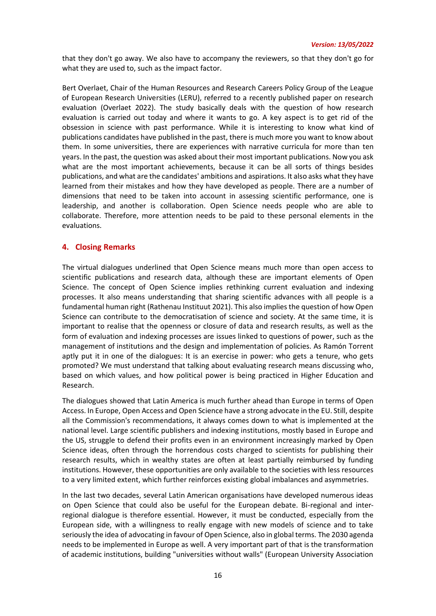that they don't go away. We also have to accompany the reviewers, so that they don't go for what they are used to, such as the impact factor.

Bert Overlaet, Chair of the Human Resources and Research Careers Policy Group of the League of European Research Universities (LERU), referred to a recently published paper on research evaluation (Overlaet 2022). The study basically deals with the question of how research evaluation is carried out today and where it wants to go. A key aspect is to get rid of the obsession in science with past performance. While it is interesting to know what kind of publications candidates have published in the past, there is much more you want to know about them. In some universities, there are experiences with narrative curricula for more than ten years. In the past, the question was asked about their most important publications. Now you ask what are the most important achievements, because it can be all sorts of things besides publications, and what are the candidates' ambitions and aspirations. It also asks what they have learned from their mistakes and how they have developed as people. There are a number of dimensions that need to be taken into account in assessing scientific performance, one is leadership, and another is collaboration. Open Science needs people who are able to collaborate. Therefore, more attention needs to be paid to these personal elements in the evaluations.

## <span id="page-15-0"></span>**4. Closing Remarks**

The virtual dialogues underlined that Open Science means much more than open access to scientific publications and research data, although these are important elements of Open Science. The concept of Open Science implies rethinking current evaluation and indexing processes. It also means understanding that sharing scientific advances with all people is a fundamental human right (Rathenau Instituut 2021). This also implies the question of how Open Science can contribute to the democratisation of science and society. At the same time, it is important to realise that the openness or closure of data and research results, as well as the form of evaluation and indexing processes are issues linked to questions of power, such as the management of institutions and the design and implementation of policies. As Ramón Torrent aptly put it in one of the dialogues: It is an exercise in power: who gets a tenure, who gets promoted? We must understand that talking about evaluating research means discussing who, based on which values, and how political power is being practiced in Higher Education and Research.

The dialogues showed that Latin America is much further ahead than Europe in terms of Open Access. In Europe, Open Access and Open Science have a strong advocate in the EU. Still, despite all the Commission's recommendations, it always comes down to what is implemented at the national level. Large scientific publishers and indexing institutions, mostly based in Europe and the US, struggle to defend their profits even in an environment increasingly marked by Open Science ideas, often through the horrendous costs charged to scientists for publishing their research results, which in wealthy states are often at least partially reimbursed by funding institutions. However, these opportunities are only available to the societies with less resources to a very limited extent, which further reinforces existing global imbalances and asymmetries.

In the last two decades, several Latin American organisations have developed numerous ideas on Open Science that could also be useful for the European debate. Bi-regional and interregional dialogue is therefore essential. However, it must be conducted, especially from the European side, with a willingness to really engage with new models of science and to take seriously the idea of advocating in favour of Open Science, also in global terms. The 2030 agenda needs to be implemented in Europe as well. A very important part of that is the transformation of academic institutions, building "universities without walls" (European University Association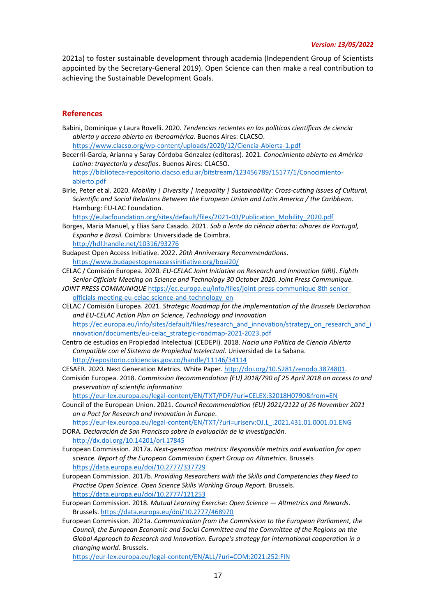2021a) to foster sustainable development through academia (Independent Group of Scientists appointed by the Secretary-General 2019). Open Science can then make a real contribution to achieving the Sustainable Development Goals.

#### **References**

Babini, Dominique y Laura Rovelli. 2020. *Tendencias recientes en las políticas científicas de ciencia abierta y acceso abierto en Iberoamérica*. Buenos Aires: CLACSO. <https://www.clacso.org/wp-content/uploads/2020/12/Ciencia-Abierta-1.pdf> Becerril-García, Arianna y Saray Córdoba Gónzalez (editoras). 2021. *Conocimiento abierto en América Latina: trayectoria y desafíos*. Buenos Aires: CLACSO. [https://biblioteca-repositorio.clacso.edu.ar/bitstream/123456789/15177/1/Conocimiento](https://biblioteca-repositorio.clacso.edu.ar/bitstream/123456789/15177/1/Conocimiento-abierto.pdf)[abierto.pdf](https://biblioteca-repositorio.clacso.edu.ar/bitstream/123456789/15177/1/Conocimiento-abierto.pdf) Birle, Peter et al. 2020. *Mobility | Diversity | Inequality | Sustainability: Cross-cutting Issues of Cultural, Scientific and Social Relations Between the European Union and Latin America / the Caribbean.*  Hamburg: EU-LAC Foundation. [https://eulacfoundation.org/sites/default/files/2021-03/Publication\\_Mobility\\_2020.pdf](https://eulacfoundation.org/sites/default/files/2021-03/Publication_Mobility_2020.pdf) Borges, Maria Manuel, y Elias Sanz Casado. 2021. *Sob a lente da ciência aberta: olhares de Portugal, Espanha e Brasil.* Coimbra: Universidade de Coimbra. <http://hdl.handle.net/10316/93276> Budapest Open Access Initiative. 2022. *20th Anniversary Recommendations*. <https://www.budapestopenaccessinitiative.org/boai20/> CELAC / Comisión Europea. 2020. *EU-CELAC Joint Initiative on Research and Innovation (JIRI). Eighth Senior Officials Meeting on Science and Technology 30 October 2020. Joint Press Communique. JOINT PRESS COMMUNIQUE* [https://ec.europa.eu/info/files/joint-press-communique-8th-senior](https://ec.europa.eu/info/files/joint-press-communique-8th-senior-officials-meeting-eu-celac-science-and-technology_en)[officials-meeting-eu-celac-science-and-technology\\_en](https://ec.europa.eu/info/files/joint-press-communique-8th-senior-officials-meeting-eu-celac-science-and-technology_en) CELAC / Comisión Europea. 2021. *Strategic Roadmap for the implementation of the Brussels Declaration and EU-CELAC Action Plan on Science, Technology and Innovation* https://ec.europa.eu/info/sites/default/files/research\_and\_innovation/strategy\_on\_research\_and\_i nnovation/documents/eu-celac\_strategic-roadmap-2021-2023.pdf Centro de estudios en Propiedad Intelectual (CEDEPI). 2018. *Hacia una Política de Ciencia Abierta Compatible con el Sistema de Propiedad Intelectual.* Universidad de La Sabana. <http://repositorio.colciencias.gov.co/handle/11146/34114> CESAER. 2020. Next Generation Metrics. White Paper[. http://doi.org/10.5281/zenodo.3874801.](http://doi.org/10.5281/zenodo.3874801)  Comisión Europea. 2018. *Commission Recommendation (EU) 2018/790 of 25 April 2018 on access to and preservation of scientific information* <https://eur-lex.europa.eu/legal-content/EN/TXT/PDF/?uri=CELEX:32018H0790&from=EN> Council of the European Union. 2021. *Council Recommendation (EU) 2021/2122 of 26 November 2021 on a Pact for Research and Innovation in Europe.* https://eur-lex.europa.eu/legal-content/EN/TXT/?uri=uriserv:OJ.L\_.2021.431.01.0001.01.ENG DORA. *Declaración de San Francisco sobre la evaluación de la investigación.* <http://dx.doi.org/10.14201/orl.17845> European Commission. 2017a. *Next-generation metrics: Responsible metrics and evaluation for open science. Report of the European Commission Expert Group on Altmetrics.* Brussels <https://data.europa.eu/doi/10.2777/337729> European Commission. 2017b. *Providing Researchers with the Skills and Competencies they Need to Practise Open Science. Open Science Skills Working Group Report.* Brussels. <https://data.europa.eu/doi/10.2777/121253> European Commission. 2018. *Mutual Learning Exercise: Open Science — Altmetrics and Rewards*. Brussels[. https://data.europa.eu/doi/10.2777/468970](https://data.europa.eu/doi/10.2777/468970) European Commission. 2021a. *Communication from the Commission to the European Parliament, the Council, the European Economic and Social Committee and the Committee of the Regions on the* 

*Global Approach to Research and Innovation. Europe's strategy for international cooperation in a changing world*. Brussels.

<https://eur-lex.europa.eu/legal-content/EN/ALL/?uri=COM:2021:252:FIN>